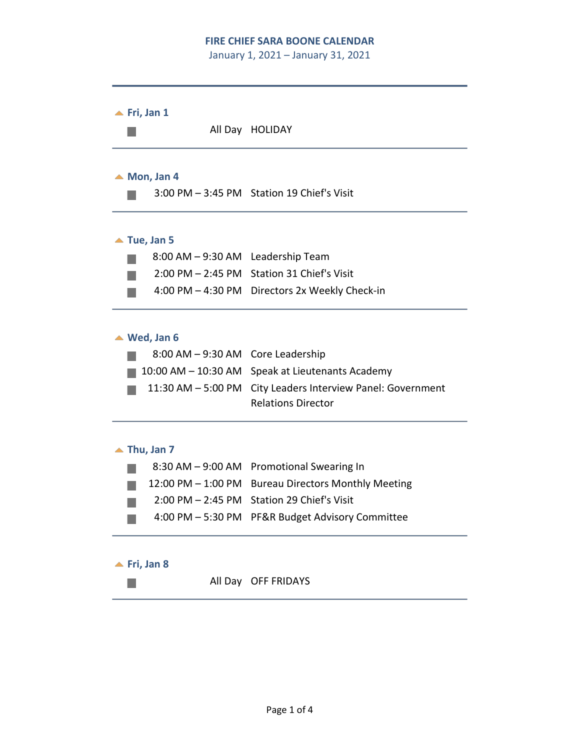#### **FIRE CHIEF SARA BOONE CALENDAR**

January 1, 2021 – January 31, 2021



# Relations Director

#### $\triangle$  Thu, Jan 7

|  | 8:30 AM - 9:00 AM Promotional Swearing In           |
|--|-----------------------------------------------------|
|  | 12:00 PM - 1:00 PM Bureau Directors Monthly Meeting |
|  | 2:00 PM - 2:45 PM Station 29 Chief's Visit          |
|  | 4:00 PM - 5:30 PM PF&R Budget Advisory Committee    |

## **<u>A</u>** Fri, Jan 8

 $\mathcal{O}^{\mathcal{A}}$ 

All Day OFF FRIDAYS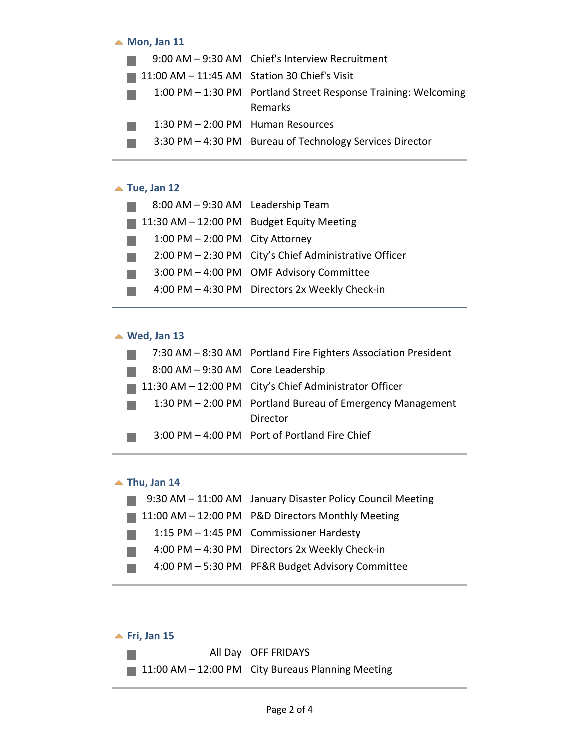#### ▲ Mon, Jan 11

|                                       | 9:00 AM - 9:30 AM Chief's Interview Recruitment                |
|---------------------------------------|----------------------------------------------------------------|
|                                       | $11:00$ AM $-11:45$ AM Station 30 Chief's Visit                |
|                                       | 1:00 PM - 1:30 PM Portland Street Response Training: Welcoming |
|                                       | Remarks                                                        |
| $1:30$ PM $- 2:00$ PM Human Resources |                                                                |
|                                       | 3:30 PM - 4:30 PM Bureau of Technology Services Director       |

## ▲ Tue, Jan 12

| 8:00 AM - 9:30 AM Leadership Team |                                                       |
|-----------------------------------|-------------------------------------------------------|
|                                   | 11:30 AM - 12:00 PM Budget Equity Meeting             |
| 1:00 PM $-$ 2:00 PM City Attorney |                                                       |
|                                   | 2:00 PM - 2:30 PM City's Chief Administrative Officer |
|                                   | 3:00 PM - 4:00 PM OMF Advisory Committee              |
|                                   | 4:00 PM - 4:30 PM Directors 2x Weekly Check-in        |

# **Wed, Jan 13**

|                                   | 7:30 AM - 8:30 AM Portland Fire Fighters Association President |
|-----------------------------------|----------------------------------------------------------------|
| 8:00 AM - 9:30 AM Core Leadership |                                                                |
|                                   | 11:30 AM - 12:00 PM City's Chief Administrator Officer         |
|                                   | 1:30 PM – 2:00 PM Portland Bureau of Emergency Management      |
|                                   | Director                                                       |
|                                   | 3:00 PM - 4:00 PM Port of Portland Fire Chief                  |

### ▲ Thu, Jan 14

| 9:30 AM - 11:00 AM January Disaster Policy Council Meeting |
|------------------------------------------------------------|
| 11:00 AM - 12:00 PM P&D Directors Monthly Meeting          |
| 1:15 PM - 1:45 PM Commissioner Hardesty                    |
| 4:00 PM - 4:30 PM Directors 2x Weekly Check-in             |
| 4:00 PM - 5:30 PM PF&R Budget Advisory Committee           |
|                                                            |

## **<u>▲ Fri, Jan 15</u>** All Day OFF FRIDAYS m. 11:00 AM - 12:00 PM City Bureaus Planning Meeting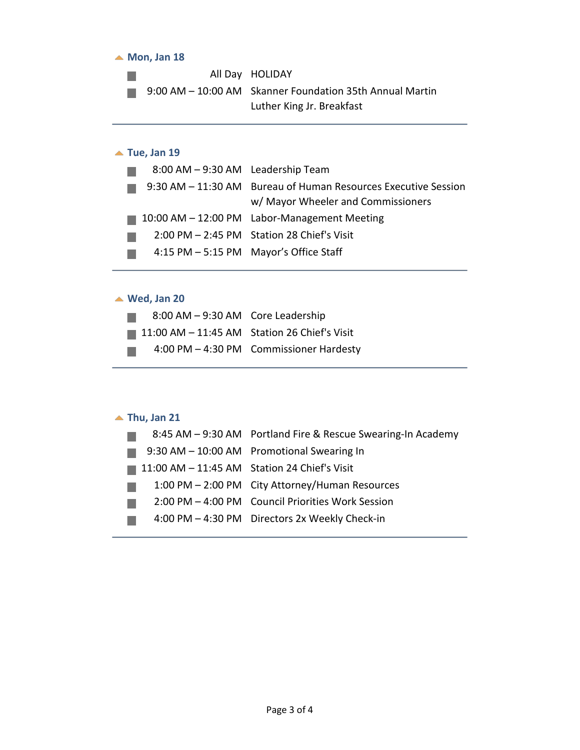#### ▲ Mon, Jan 18

All Day HOLIDAY и.<br>По 9:00 AM – 10:00 AM Skanner Foundation 35th Annual Martin  $\mathcal{L}_{\mathcal{A}}$ Luther King Jr. Breakfast

# ▲ Tue, Jan 19

| 8:00 AM - 9:30 AM Leadership Team |                                                                |
|-----------------------------------|----------------------------------------------------------------|
|                                   | 9:30 AM - 11:30 AM Bureau of Human Resources Executive Session |
|                                   | w/ Mayor Wheeler and Commissioners                             |
|                                   | 10:00 AM - 12:00 PM Labor-Management Meeting                   |
|                                   | 2:00 PM - 2:45 PM Station 28 Chief's Visit                     |
|                                   | 4:15 PM - 5:15 PM Mayor's Office Staff                         |

## **Wed, Jan 20**

| 8:00 AM - 9:30 AM Core Leadership                           |                                         |
|-------------------------------------------------------------|-----------------------------------------|
| $\blacksquare$ 11:00 AM - 11:45 AM Station 26 Chief's Visit |                                         |
| a sa                                                        | 4:00 PM - 4:30 PM Commissioner Hardesty |

### **Thu, Jan 21**

|                                                               | 8:45 AM - 9:30 AM Portland Fire & Rescue Swearing-In Academy |
|---------------------------------------------------------------|--------------------------------------------------------------|
|                                                               | 9:30 AM - 10:00 AM Promotional Swearing In                   |
| $\blacksquare$ 11:00 AM $-$ 11:45 AM Station 24 Chief's Visit |                                                              |
|                                                               | 1:00 PM - 2:00 PM City Attorney/Human Resources              |
|                                                               | 2:00 PM - 4:00 PM Council Priorities Work Session            |
|                                                               | 4:00 PM - 4:30 PM Directors 2x Weekly Check-in               |
|                                                               |                                                              |